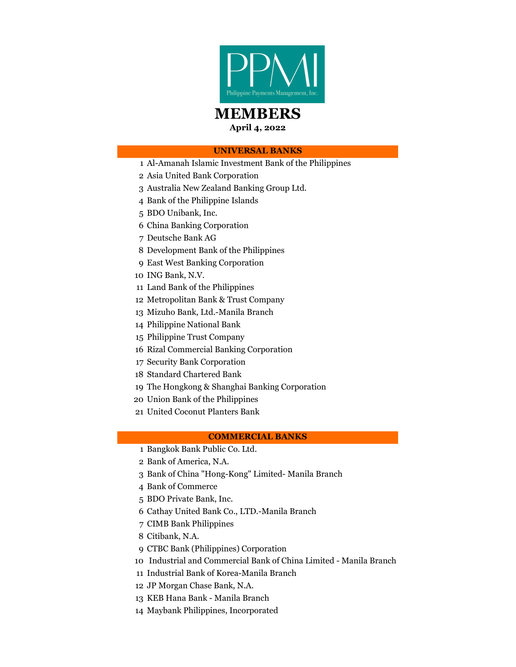

# MEMBERS

April 4, 2022

# UNIVERSAL BANKS

- 1 Al-Amanah Islamic Investment Bank of the Philippines
- 2 Asia United Bank Corporation
- 3 Australia New Zealand Banking Group Ltd.
- 4 Bank of the Philippine Islands
- 5 BDO Unibank, Inc.
- 6 China Banking Corporation
- 7 Deutsche Bank AG
- 8 Development Bank of the Philippines
- 9 East West Banking Corporation
- 10 ING Bank, N.V.
- 11 Land Bank of the Philippines
- 12 Metropolitan Bank & Trust Company
- 13 Mizuho Bank, Ltd.-Manila Branch
- 14 Philippine National Bank
- 15 Philippine Trust Company
- 16 Rizal Commercial Banking Corporation
- 17 Security Bank Corporation
- 18 Standard Chartered Bank
- 19 The Hongkong & Shanghai Banking Corporation
- 20 Union Bank of the Philippines
- 21 United Coconut Planters Bank

## COMMERCIAL BANKS

- 1 Bangkok Bank Public Co. Ltd.
- 2 Bank of America, N.A.
- 3 Bank of China "Hong-Kong" Limited- Manila Branch
- 4 Bank of Commerce
- 5 BDO Private Bank, Inc.
- 6 Cathay United Bank Co., LTD.-Manila Branch
- 7 CIMB Bank Philippines
- 8 Citibank, N.A.
- 9 CTBC Bank (Philippines) Corporation
- 10 Industrial and Commercial Bank of China Limited Manila Branch
- 11 Industrial Bank of Korea-Manila Branch
- 12 JP Morgan Chase Bank, N.A.
- 13 KEB Hana Bank Manila Branch
- 14 Maybank Philippines, Incorporated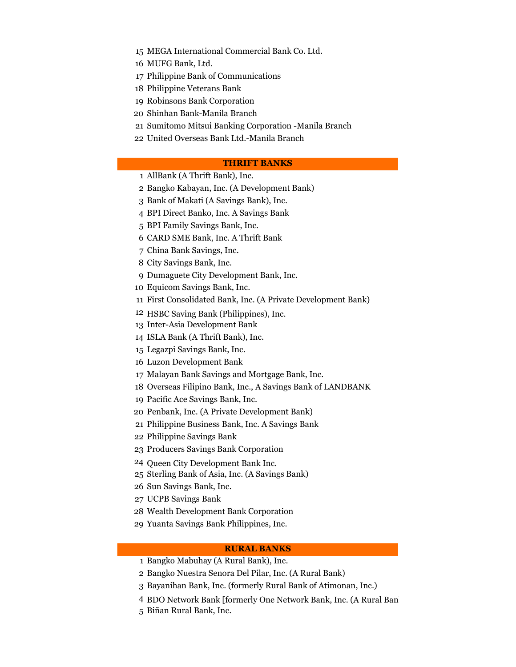15 MEGA International Commercial Bank Co. Ltd.

- 16 MUFG Bank, Ltd.
- 17 Philippine Bank of Communications
- 18 Philippine Veterans Bank
- 19 Robinsons Bank Corporation
- 20 Shinhan Bank-Manila Branch
- 21 Sumitomo Mitsui Banking Corporation -Manila Branch
- 22 United Overseas Bank Ltd.-Manila Branch

## THRIFT BANKS

- 1 AllBank (A Thrift Bank), Inc.
- 2 Bangko Kabayan, Inc. (A Development Bank)
- 3 Bank of Makati (A Savings Bank), Inc.
- 4 BPI Direct Banko, Inc. A Savings Bank
- 5 BPI Family Savings Bank, Inc.
- 6 CARD SME Bank, Inc. A Thrift Bank
- 7 China Bank Savings, Inc.
- 8 City Savings Bank, Inc.
- 9 Dumaguete City Development Bank, Inc.
- 10 Equicom Savings Bank, Inc.
- 11 First Consolidated Bank, Inc. (A Private Development Bank)
- 12 HSBC Saving Bank (Philippines), Inc.
- 13 Inter-Asia Development Bank
- 14 ISLA Bank (A Thrift Bank), Inc.
- 15 Legazpi Savings Bank, Inc.
- 16 Luzon Development Bank
- 17 Malayan Bank Savings and Mortgage Bank, Inc.
- 18 Overseas Filipino Bank, Inc., A Savings Bank of LANDBANK
- 19 Pacific Ace Savings Bank, Inc.
- 20 Penbank, Inc. (A Private Development Bank)
- 21 Philippine Business Bank, Inc. A Savings Bank
- 22 Philippine Savings Bank
- 23 Producers Savings Bank Corporation
- 24 Queen City Development Bank Inc.
- 25 Sterling Bank of Asia, Inc. (A Savings Bank)
- 26 Sun Savings Bank, Inc.
- 27 UCPB Savings Bank
- 28 Wealth Development Bank Corporation
- 29 Yuanta Savings Bank Philippines, Inc.

#### RURAL BANKS

- 1 Bangko Mabuhay (A Rural Bank), Inc.
- 2 Bangko Nuestra Senora Del Pilar, Inc. (A Rural Bank)
- 3 Bayanihan Bank, Inc. (formerly Rural Bank of Atimonan, Inc.)
- 4 BDO Network Bank [formerly One Network Bank, Inc. (A Rural Ban
- 5 Biñan Rural Bank, Inc.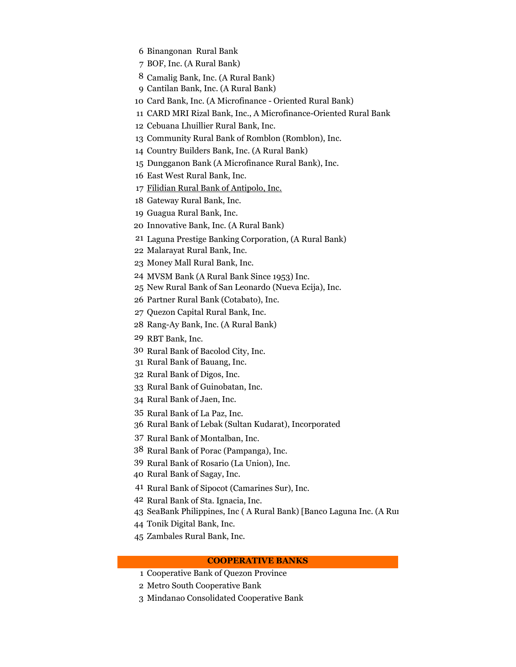- 6 Binangonan Rural Bank
- 7 BOF, Inc. (A Rural Bank)
- 8 Camalig Bank, Inc. (A Rural Bank)
- 9 Cantilan Bank, Inc. (A Rural Bank)
- 10 Card Bank, Inc. (A Microfinance Oriented Rural Bank)
- 11 CARD MRI Rizal Bank, Inc., A Microfinance-Oriented Rural Bank
- 12 Cebuana Lhuillier Rural Bank, Inc.
- 13 Community Rural Bank of Romblon (Romblon), Inc.
- 14 Country Builders Bank, Inc. (A Rural Bank)
- 15 Dungganon Bank (A Microfinance Rural Bank), Inc.
- 16 East West Rural Bank, Inc.
- 17 Filidian Rural Bank of Antipolo, Inc.
- 18 Gateway Rural Bank, Inc.
- 19 Guagua Rural Bank, Inc.
- 20 Innovative Bank, Inc. (A Rural Bank)
- 21 Laguna Prestige Banking Corporation, (A Rural Bank)
- 22 Malarayat Rural Bank, Inc.
- 23 Money Mall Rural Bank, Inc.
- 24 MVSM Bank (A Rural Bank Since 1953) Inc.
- 25 New Rural Bank of San Leonardo (Nueva Ecija), Inc.
- 26 Partner Rural Bank (Cotabato), Inc.
- 27 Quezon Capital Rural Bank, Inc.
- 28 Rang-Ay Bank, Inc. (A Rural Bank)
- 29 RBT Bank, Inc.
- 30 Rural Bank of Bacolod City, Inc.
- 31 Rural Bank of Bauang, Inc.
- 32 Rural Bank of Digos, Inc.
- 33 Rural Bank of Guinobatan, Inc.
- 34 Rural Bank of Jaen, Inc.
- 35 Rural Bank of La Paz, Inc.
- 36 Rural Bank of Lebak (Sultan Kudarat), Incorporated
- 37 Rural Bank of Montalban, Inc.
- 38 Rural Bank of Porac (Pampanga), Inc.
- 39 Rural Bank of Rosario (La Union), Inc.
- 40 Rural Bank of Sagay, Inc.
- 41 Rural Bank of Sipocot (Camarines Sur), Inc.
- 42 Rural Bank of Sta. Ignacia, Inc.
- 43 SeaBank Philippines, Inc (A Rural Bank) [Banco Laguna Inc. (A Rural Bank)]
- 44 Tonik Digital Bank, Inc.
- 45 Zambales Rural Bank, Inc.

#### COOPERATIVE BANKS

- 1 Cooperative Bank of Quezon Province
- 2 Metro South Cooperative Bank
- 3 Mindanao Consolidated Cooperative Bank